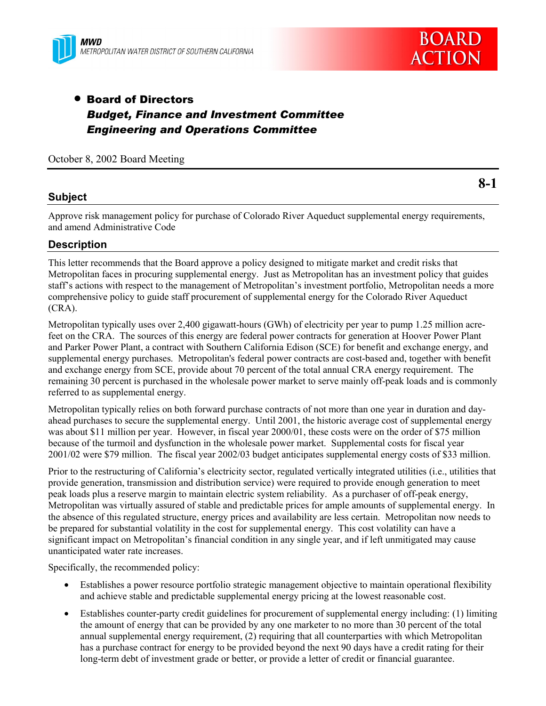

# • Board of Directors *Budget, Finance and Investment Committee Engineering and Operations Committee*

# **Subject**

Approve risk management policy for purchase of Colorado River Aqueduct supplemental energy requirements, and amend Administrative Code

# **Description**

This letter recommends that the Board approve a policy designed to mitigate market and credit risks that Metropolitan faces in procuring supplemental energy. Just as Metropolitan has an investment policy that guides staff's actions with respect to the management of Metropolitan's investment portfolio, Metropolitan needs a more comprehensive policy to guide staff procurement of supplemental energy for the Colorado River Aqueduct (CRA).

Metropolitan typically uses over 2,400 gigawatt-hours (GWh) of electricity per year to pump 1.25 million acrefeet on the CRA. The sources of this energy are federal power contracts for generation at Hoover Power Plant and Parker Power Plant, a contract with Southern California Edison (SCE) for benefit and exchange energy, and supplemental energy purchases. Metropolitan's federal power contracts are cost-based and, together with benefit and exchange energy from SCE, provide about 70 percent of the total annual CRA energy requirement. The remaining 30 percent is purchased in the wholesale power market to serve mainly off-peak loads and is commonly referred to as supplemental energy.

Metropolitan typically relies on both forward purchase contracts of not more than one year in duration and dayahead purchases to secure the supplemental energy. Until 2001, the historic average cost of supplemental energy was about \$11 million per year. However, in fiscal year 2000/01, these costs were on the order of \$75 million because of the turmoil and dysfunction in the wholesale power market. Supplemental costs for fiscal year 2001/02 were \$79 million. The fiscal year 2002/03 budget anticipates supplemental energy costs of \$33 million.

Prior to the restructuring of California's electricity sector, regulated vertically integrated utilities (i.e., utilities that provide generation, transmission and distribution service) were required to provide enough generation to meet peak loads plus a reserve margin to maintain electric system reliability. As a purchaser of off-peak energy, Metropolitan was virtually assured of stable and predictable prices for ample amounts of supplemental energy. In the absence of this regulated structure, energy prices and availability are less certain. Metropolitan now needs to be prepared for substantial volatility in the cost for supplemental energy. This cost volatility can have a significant impact on Metropolitan's financial condition in any single year, and if left unmitigated may cause unanticipated water rate increases.

Specifically, the recommended policy:

- Establishes a power resource portfolio strategic management objective to maintain operational flexibility and achieve stable and predictable supplemental energy pricing at the lowest reasonable cost.
- Establishes counter-party credit guidelines for procurement of supplemental energy including: (1) limiting the amount of energy that can be provided by any one marketer to no more than 30 percent of the total annual supplemental energy requirement, (2) requiring that all counterparties with which Metropolitan has a purchase contract for energy to be provided beyond the next 90 days have a credit rating for their long-term debt of investment grade or better, or provide a letter of credit or financial guarantee.

**8-1**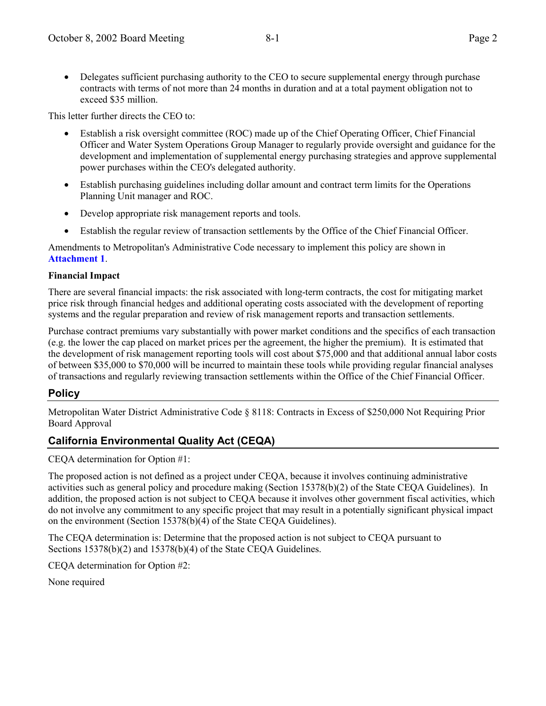• Delegates sufficient purchasing authority to the CEO to secure supplemental energy through purchase contracts with terms of not more than 24 months in duration and at a total payment obligation not to exceed \$35 million.

This letter further directs the CEO to:

- Establish a risk oversight committee (ROC) made up of the Chief Operating Officer, Chief Financial Officer and Water System Operations Group Manager to regularly provide oversight and guidance for the development and implementation of supplemental energy purchasing strategies and approve supplemental power purchases within the CEO's delegated authority.
- Establish purchasing guidelines including dollar amount and contract term limits for the Operations Planning Unit manager and ROC.
- Develop appropriate risk management reports and tools.
- Establish the regular review of transaction settlements by the Office of the Chief Financial Officer.

Amendments to Metropolitan's Administrative Code necessary to implement this policy are shown in **Attachment 1**.

## **Financial Impact**

There are several financial impacts: the risk associated with long-term contracts, the cost for mitigating market price risk through financial hedges and additional operating costs associated with the development of reporting systems and the regular preparation and review of risk management reports and transaction settlements.

Purchase contract premiums vary substantially with power market conditions and the specifics of each transaction (e.g. the lower the cap placed on market prices per the agreement, the higher the premium). It is estimated that the development of risk management reporting tools will cost about \$75,000 and that additional annual labor costs of between \$35,000 to \$70,000 will be incurred to maintain these tools while providing regular financial analyses of transactions and regularly reviewing transaction settlements within the Office of the Chief Financial Officer.

# **Policy**

Metropolitan Water District Administrative Code ß 8118: Contracts in Excess of \$250,000 Not Requiring Prior Board Approval

# **California Environmental Quality Act (CEQA)**

CEQA determination for Option #1:

The proposed action is not defined as a project under CEQA, because it involves continuing administrative activities such as general policy and procedure making (Section 15378(b)(2) of the State CEQA Guidelines). In addition, the proposed action is not subject to CEQA because it involves other government fiscal activities, which do not involve any commitment to any specific project that may result in a potentially significant physical impact on the environment (Section 15378(b)(4) of the State CEQA Guidelines).

The CEQA determination is: Determine that the proposed action is not subject to CEQA pursuant to Sections 15378(b)(2) and 15378(b)(4) of the State CEQA Guidelines.

CEQA determination for Option #2:

None required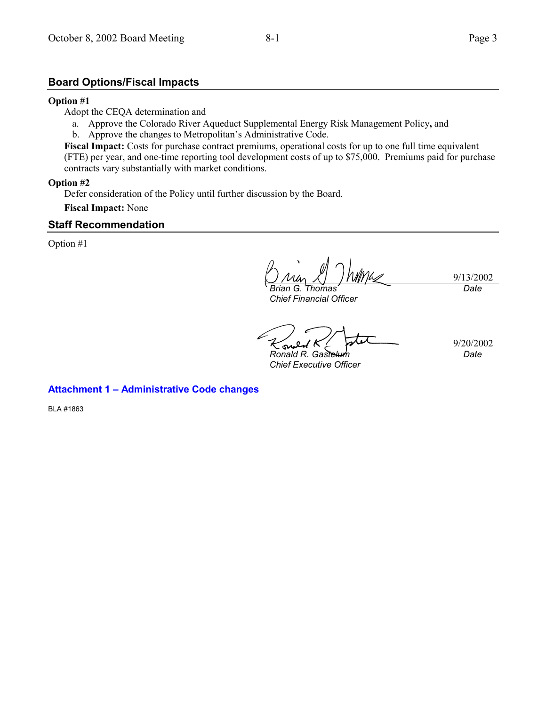## **Board Options/Fiscal Impacts**

#### **Option #1**

Adopt the CEQA determination and

- a. Approve the Colorado River Aqueduct Supplemental Energy Risk Management Policy**,** and
- b. Approve the changes to Metropolitan's Administrative Code.
- **Fiscal Impact:** Costs for purchase contract premiums, operational costs for up to one full time equivalent (FTE) per year, and one-time reporting tool development costs of up to \$75,000. Premiums paid for purchase contracts vary substantially with market conditions.

### **Option #2**

Defer consideration of the Policy until further discussion by the Board.

**Fiscal Impact:** None

## **Staff Recommendation**

Option #1

9/13/2002 *Brian G. Thomas Date*

*Chief Financial Officer*

9/20/2002  $\sim$ *Ronald R. Gastelum Date*

*Chief Executive Officer*

**Attachment 1 - Administrative Code changes** 

BLA #1863